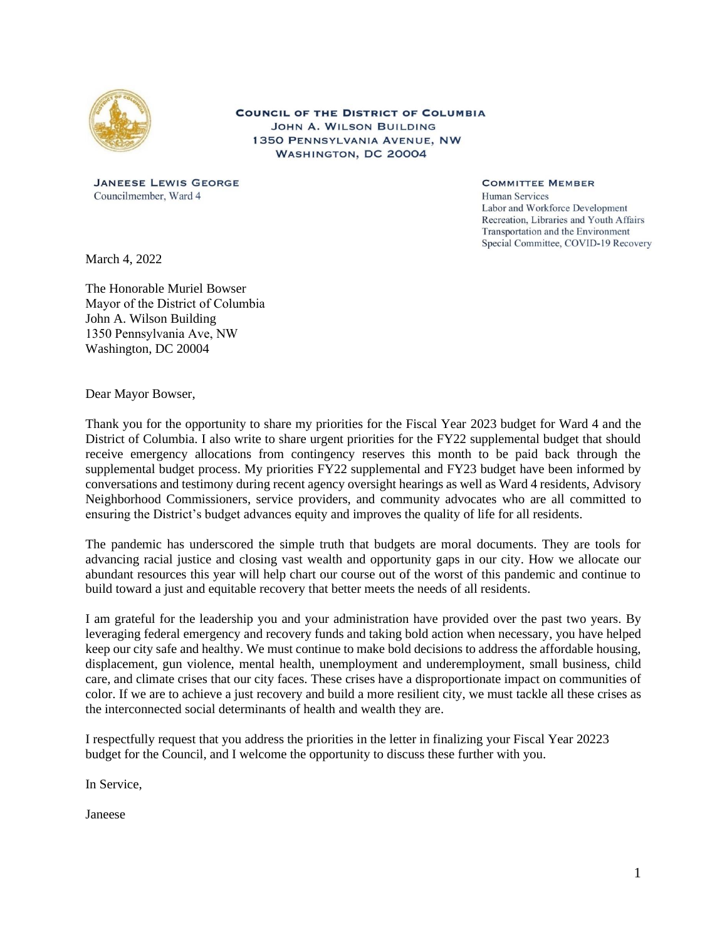

**COUNCIL OF THE DISTRICT OF COLUMBIA JOHN A. WILSON BUILDING** 1350 PENNSYLVANIA AVENUE, NW WASHINGTON, DC 20004

**JANEESE LEWIS GEORGE** Councilmember, Ward 4

**COMMITTEE MEMBER Human Services** Labor and Workforce Development Recreation, Libraries and Youth Affairs Transportation and the Environment Special Committee, COVID-19 Recovery

March 4, 2022

The Honorable Muriel Bowser Mayor of the District of Columbia  John A. Wilson Building 1350 Pennsylvania Ave, NW  Washington, DC 20004

Dear Mayor Bowser,

Thank you for the opportunity to share my priorities for the Fiscal Year 2023 budget for Ward 4 and the District of Columbia. I also write to share urgent priorities for the FY22 supplemental budget that should receive emergency allocations from contingency reserves this month to be paid back through the supplemental budget process. My priorities FY22 supplemental and FY23 budget have been informed by conversations and testimony during recent agency oversight hearings as well as Ward 4 residents, Advisory Neighborhood Commissioners, service providers, and community advocates who are all committed to ensuring the District's budget advances equity and improves the quality of life for all residents.

The pandemic has underscored the simple truth that budgets are moral documents. They are tools for advancing racial justice and closing vast wealth and opportunity gaps in our city. How we allocate our abundant resources this year will help chart our course out of the worst of this pandemic and continue to build toward a just and equitable recovery that better meets the needs of all residents.

I am grateful for the leadership you and your administration have provided over the past two years. By leveraging federal emergency and recovery funds and taking bold action when necessary, you have helped keep our city safe and healthy. We must continue to make bold decisions to address the affordable housing, displacement, gun violence, mental health, unemployment and underemployment, small business, child care, and climate crises that our city faces. These crises have a disproportionate impact on communities of color. If we are to achieve a just recovery and build a more resilient city, we must tackle all these crises as the interconnected social determinants of health and wealth they are.

I respectfully request that you address the priorities in the letter in finalizing your Fiscal Year 20223 budget for the Council, and I welcome the opportunity to discuss these further with you.

In Service,

Janeese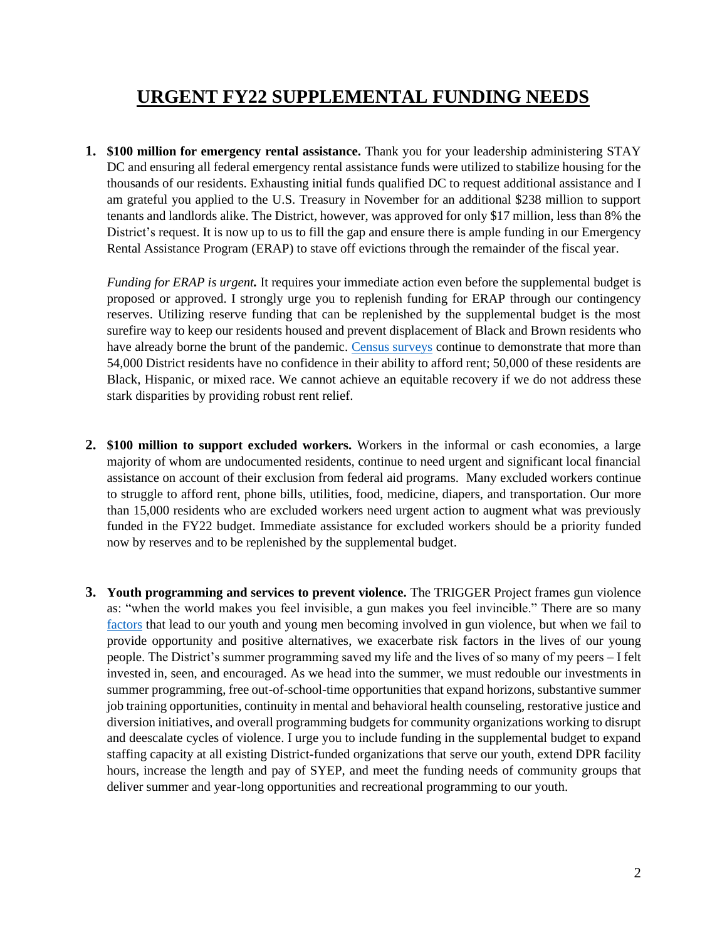# **URGENT FY22 SUPPLEMENTAL FUNDING NEEDS**

**1. \$100 million for emergency rental assistance.** Thank you for your leadership administering STAY DC and ensuring all federal emergency rental assistance funds were utilized to stabilize housing for the thousands of our residents. Exhausting initial funds qualified DC to request additional assistance and I am grateful you applied to the U.S. Treasury in November for an additional \$238 million to support tenants and landlords alike. The District, however, was approved for only \$17 million, less than 8% the District's request. It is now up to us to fill the gap and ensure there is ample funding in our Emergency Rental Assistance Program (ERAP) to stave off evictions through the remainder of the fiscal year.

*Funding for ERAP is urgent.* It requires your immediate action even before the supplemental budget is proposed or approved. I strongly urge you to replenish funding for ERAP through our contingency reserves. Utilizing reserve funding that can be replenished by the supplemental budget is the most surefire way to keep our residents housed and prevent displacement of Black and Brown residents who have already borne the brunt of the pandemic. [Census surveys](https://www.census.gov/programs-surveys/household-pulse-survey/data.html) continue to demonstrate that more than 54,000 District residents have no confidence in their ability to afford rent; 50,000 of these residents are Black, Hispanic, or mixed race. We cannot achieve an equitable recovery if we do not address these stark disparities by providing robust rent relief.

- **2. \$100 million to support excluded workers.** Workers in the informal or cash economies, a large majority of whom are undocumented residents, continue to need urgent and significant local financial assistance on account of their exclusion from federal aid programs. Many excluded workers continue to struggle to afford rent, phone bills, utilities, food, medicine, diapers, and transportation. Our more than 15,000 residents who are excluded workers need urgent action to augment what was previously funded in the FY22 budget. Immediate assistance for excluded workers should be a priority funded now by reserves and to be replenished by the supplemental budget.
- **3. Youth programming and services to prevent violence.** The TRIGGER Project frames gun violence as: "when the world makes you feel invisible, a gun makes you feel invincible." There are so many [factors](https://img1.wsimg.com/blobby/go/0284cf39-5f2a-4210-b733-b42dc4a6189c/downloads/T.R.I.G.G.E.R._%20Risk%20Factors%20Linked.pdf?ver=1621298162807) that lead to our youth and young men becoming involved in gun violence, but when we fail to provide opportunity and positive alternatives, we exacerbate risk factors in the lives of our young people. The District's summer programming saved my life and the lives of so many of my peers – I felt invested in, seen, and encouraged. As we head into the summer, we must redouble our investments in summer programming, free out-of-school-time opportunities that expand horizons, substantive summer job training opportunities, continuity in mental and behavioral health counseling, restorative justice and diversion initiatives, and overall programming budgets for community organizations working to disrupt and deescalate cycles of violence. I urge you to include funding in the supplemental budget to expand staffing capacity at all existing District-funded organizations that serve our youth, extend DPR facility hours, increase the length and pay of SYEP, and meet the funding needs of community groups that deliver summer and year-long opportunities and recreational programming to our youth.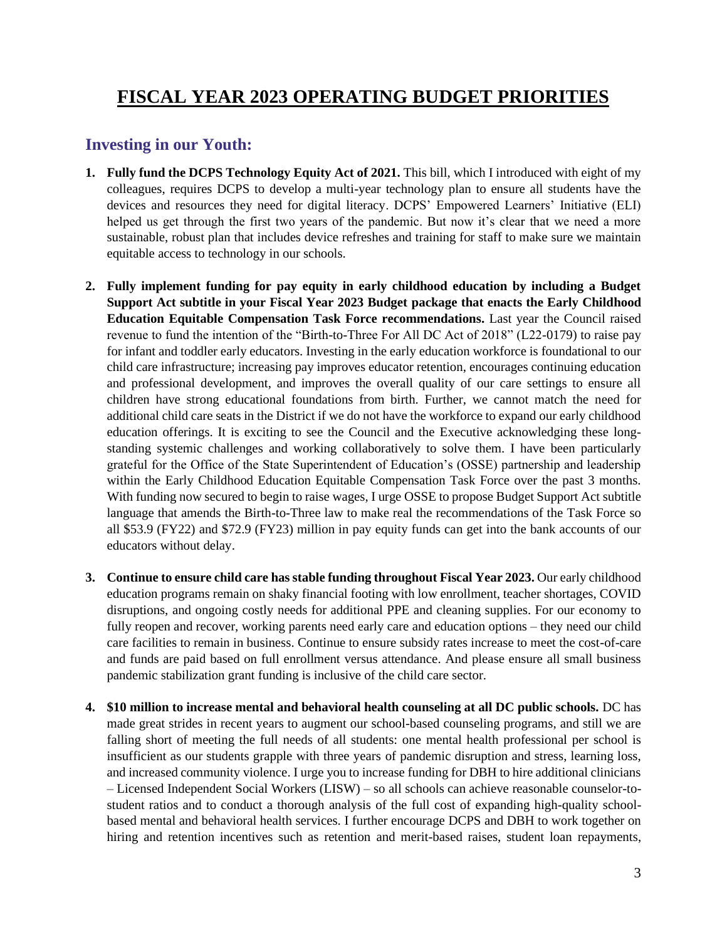# **FISCAL YEAR 2023 OPERATING BUDGET PRIORITIES**

#### **Investing in our Youth:**

- **1. Fully fund the DCPS Technology Equity Act of 2021.** This bill, which I introduced with eight of my colleagues, requires DCPS to develop a multi-year technology plan to ensure all students have the devices and resources they need for digital literacy. DCPS' Empowered Learners' Initiative (ELI) helped us get through the first two years of the pandemic. But now it's clear that we need a more sustainable, robust plan that includes device refreshes and training for staff to make sure we maintain equitable access to technology in our schools.
- **2. Fully implement funding for pay equity in early childhood education by including a Budget Support Act subtitle in your Fiscal Year 2023 Budget package that enacts the Early Childhood Education Equitable Compensation Task Force recommendations.** Last year the Council raised revenue to fund the intention of the "Birth-to-Three For All DC Act of 2018" (L22-0179) to raise pay for infant and toddler early educators. Investing in the early education workforce is foundational to our child care infrastructure; increasing pay improves educator retention, encourages continuing education and professional development, and improves the overall quality of our care settings to ensure all children have strong educational foundations from birth. Further, we cannot match the need for additional child care seats in the District if we do not have the workforce to expand our early childhood education offerings. It is exciting to see the Council and the Executive acknowledging these longstanding systemic challenges and working collaboratively to solve them. I have been particularly grateful for the Office of the State Superintendent of Education's (OSSE) partnership and leadership within the Early Childhood Education Equitable Compensation Task Force over the past 3 months. With funding now secured to begin to raise wages, I urge OSSE to propose Budget Support Act subtitle language that amends the Birth-to-Three law to make real the recommendations of the Task Force so all \$53.9 (FY22) and \$72.9 (FY23) million in pay equity funds can get into the bank accounts of our educators without delay.
- **3. Continue to ensure child care has stable funding throughout Fiscal Year 2023.** Our early childhood education programs remain on shaky financial footing with low enrollment, teacher shortages, COVID disruptions, and ongoing costly needs for additional PPE and cleaning supplies. For our economy to fully reopen and recover, working parents need early care and education options – they need our child care facilities to remain in business. Continue to ensure subsidy rates increase to meet the cost-of-care and funds are paid based on full enrollment versus attendance. And please ensure all small business pandemic stabilization grant funding is inclusive of the child care sector.
- **4. \$10 million to increase mental and behavioral health counseling at all DC public schools.** DC has made great strides in recent years to augment our school-based counseling programs, and still we are falling short of meeting the full needs of all students: one mental health professional per school is insufficient as our students grapple with three years of pandemic disruption and stress, learning loss, and increased community violence. I urge you to increase funding for DBH to hire additional clinicians – Licensed Independent Social Workers (LISW) – so all schools can achieve reasonable counselor-tostudent ratios and to conduct a thorough analysis of the full cost of expanding high-quality schoolbased mental and behavioral health services. I further encourage DCPS and DBH to work together on hiring and retention incentives such as retention and merit-based raises, student loan repayments,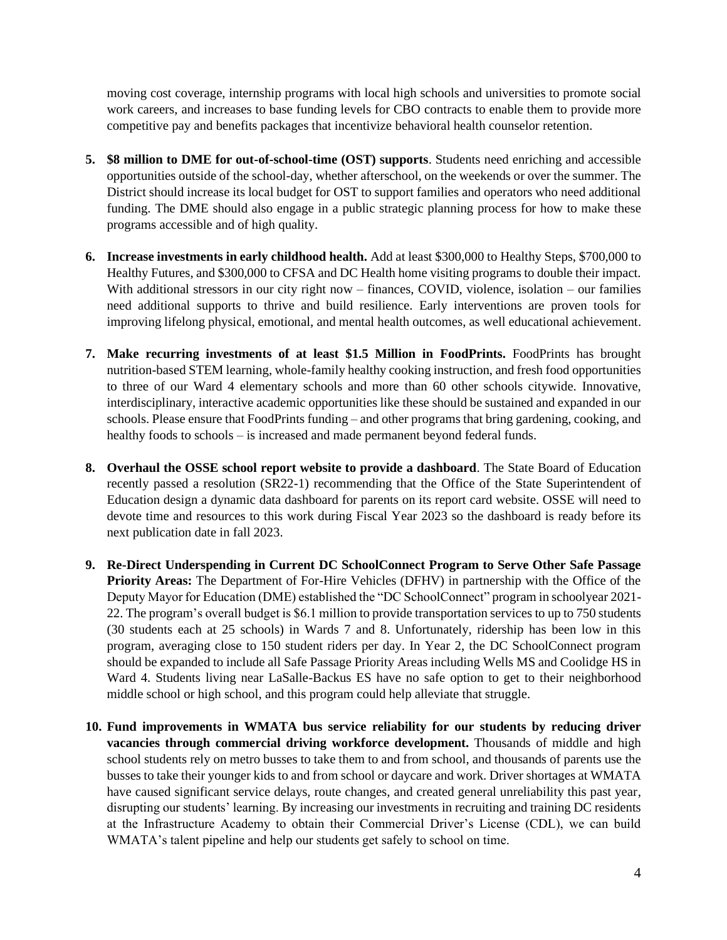moving cost coverage, internship programs with local high schools and universities to promote social work careers, and increases to base funding levels for CBO contracts to enable them to provide more competitive pay and benefits packages that incentivize behavioral health counselor retention.

- **5. \$8 million to DME for out-of-school-time (OST) supports**. Students need enriching and accessible opportunities outside of the school-day, whether afterschool, on the weekends or over the summer. The District should increase its local budget for OST to support families and operators who need additional funding. The DME should also engage in a public strategic planning process for how to make these programs accessible and of high quality.
- **6. Increase investments in early childhood health.** Add at least \$300,000 to Healthy Steps, \$700,000 to Healthy Futures, and \$300,000 to CFSA and DC Health home visiting programs to double their impact. With additional stressors in our city right now – finances, COVID, violence, isolation – our families need additional supports to thrive and build resilience. Early interventions are proven tools for improving lifelong physical, emotional, and mental health outcomes, as well educational achievement.
- **7. Make recurring investments of at least \$1.5 Million in FoodPrints.** FoodPrints has brought nutrition-based STEM learning, whole-family healthy cooking instruction, and fresh food opportunities to three of our Ward 4 elementary schools and more than 60 other schools citywide. Innovative, interdisciplinary, interactive academic opportunities like these should be sustained and expanded in our schools. Please ensure that FoodPrints funding – and other programs that bring gardening, cooking, and healthy foods to schools – is increased and made permanent beyond federal funds.
- **8. Overhaul the OSSE school report website to provide a dashboard**. The State Board of Education recently passed a resolution (SR22-1) recommending that the Office of the State Superintendent of Education design a dynamic data dashboard for parents on its report card website. OSSE will need to devote time and resources to this work during Fiscal Year 2023 so the dashboard is ready before its next publication date in fall 2023.
- **9. Re-Direct Underspending in Current DC SchoolConnect Program to Serve Other Safe Passage Priority Areas:** The Department of For-Hire Vehicles (DFHV) in partnership with the Office of the Deputy Mayor for Education (DME) established the "DC SchoolConnect" program in schoolyear 2021- 22. The program's overall budget is \$6.1 million to provide transportation services to up to 750 students (30 students each at 25 schools) in Wards 7 and 8. Unfortunately, ridership has been low in this program, averaging close to 150 student riders per day. In Year 2, the DC SchoolConnect program should be expanded to include all Safe Passage Priority Areas including Wells MS and Coolidge HS in Ward 4. Students living near LaSalle-Backus ES have no safe option to get to their neighborhood middle school or high school, and this program could help alleviate that struggle.
- **10. Fund improvements in WMATA bus service reliability for our students by reducing driver vacancies through commercial driving workforce development.** Thousands of middle and high school students rely on metro busses to take them to and from school, and thousands of parents use the busses to take their younger kids to and from school or daycare and work. Driver shortages at WMATA have caused significant service delays, route changes, and created general unreliability this past year, disrupting our students' learning. By increasing our investments in recruiting and training DC residents at the Infrastructure Academy to obtain their Commercial Driver's License (CDL), we can build WMATA's talent pipeline and help our students get safely to school on time.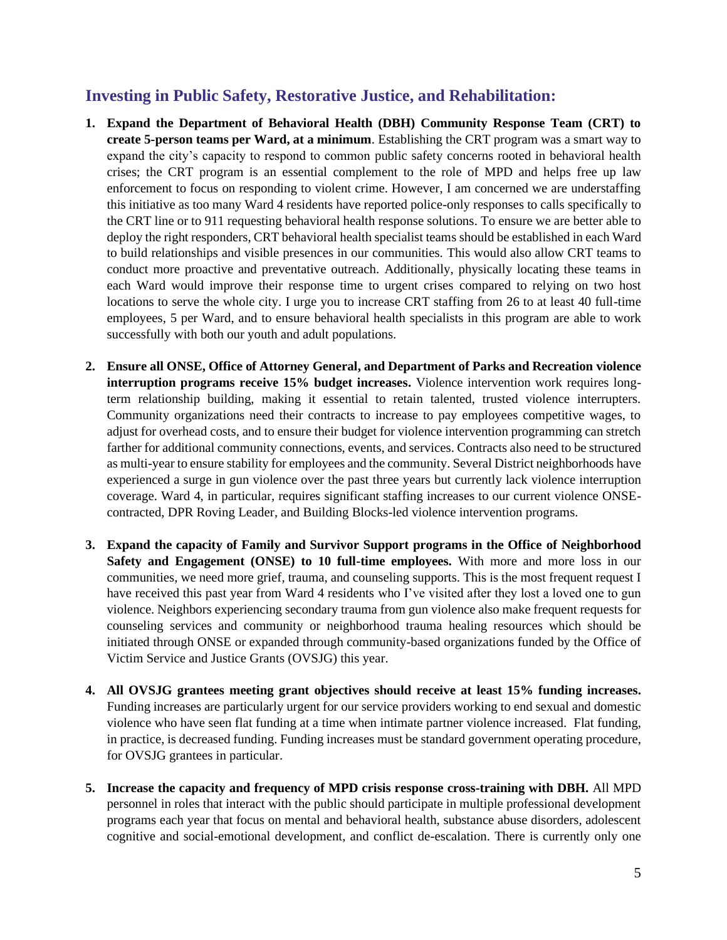#### **Investing in Public Safety, Restorative Justice, and Rehabilitation:**

- **1. Expand the Department of Behavioral Health (DBH) Community Response Team (CRT) to create 5-person teams per Ward, at a minimum**. Establishing the CRT program was a smart way to expand the city's capacity to respond to common public safety concerns rooted in behavioral health crises; the CRT program is an essential complement to the role of MPD and helps free up law enforcement to focus on responding to violent crime. However, I am concerned we are understaffing this initiative as too many Ward 4 residents have reported police-only responses to calls specifically to the CRT line or to 911 requesting behavioral health response solutions. To ensure we are better able to deploy the right responders, CRT behavioral health specialist teams should be established in each Ward to build relationships and visible presences in our communities. This would also allow CRT teams to conduct more proactive and preventative outreach. Additionally, physically locating these teams in each Ward would improve their response time to urgent crises compared to relying on two host locations to serve the whole city. I urge you to increase CRT staffing from 26 to at least 40 full-time employees, 5 per Ward, and to ensure behavioral health specialists in this program are able to work successfully with both our youth and adult populations.
- **2. Ensure all ONSE, Office of Attorney General, and Department of Parks and Recreation violence interruption programs receive 15% budget increases.** Violence intervention work requires longterm relationship building, making it essential to retain talented, trusted violence interrupters. Community organizations need their contracts to increase to pay employees competitive wages, to adjust for overhead costs, and to ensure their budget for violence intervention programming can stretch farther for additional community connections, events, and services. Contracts also need to be structured as multi-year to ensure stability for employees and the community. Several District neighborhoods have experienced a surge in gun violence over the past three years but currently lack violence interruption coverage. Ward 4, in particular, requires significant staffing increases to our current violence ONSEcontracted, DPR Roving Leader, and Building Blocks-led violence intervention programs.
- **3. Expand the capacity of Family and Survivor Support programs in the Office of Neighborhood Safety and Engagement (ONSE) to 10 full-time employees.** With more and more loss in our communities, we need more grief, trauma, and counseling supports. This is the most frequent request I have received this past year from Ward 4 residents who I've visited after they lost a loved one to gun violence. Neighbors experiencing secondary trauma from gun violence also make frequent requests for counseling services and community or neighborhood trauma healing resources which should be initiated through ONSE or expanded through community-based organizations funded by the Office of Victim Service and Justice Grants (OVSJG) this year.
- **4. All OVSJG grantees meeting grant objectives should receive at least 15% funding increases.**  Funding increases are particularly urgent for our service providers working to end sexual and domestic violence who have seen flat funding at a time when intimate partner violence increased. Flat funding, in practice, is decreased funding. Funding increases must be standard government operating procedure, for OVSJG grantees in particular.
- **5. Increase the capacity and frequency of MPD crisis response cross-training with DBH.** All MPD personnel in roles that interact with the public should participate in multiple professional development programs each year that focus on mental and behavioral health, substance abuse disorders, adolescent cognitive and social-emotional development, and conflict de-escalation. There is currently only one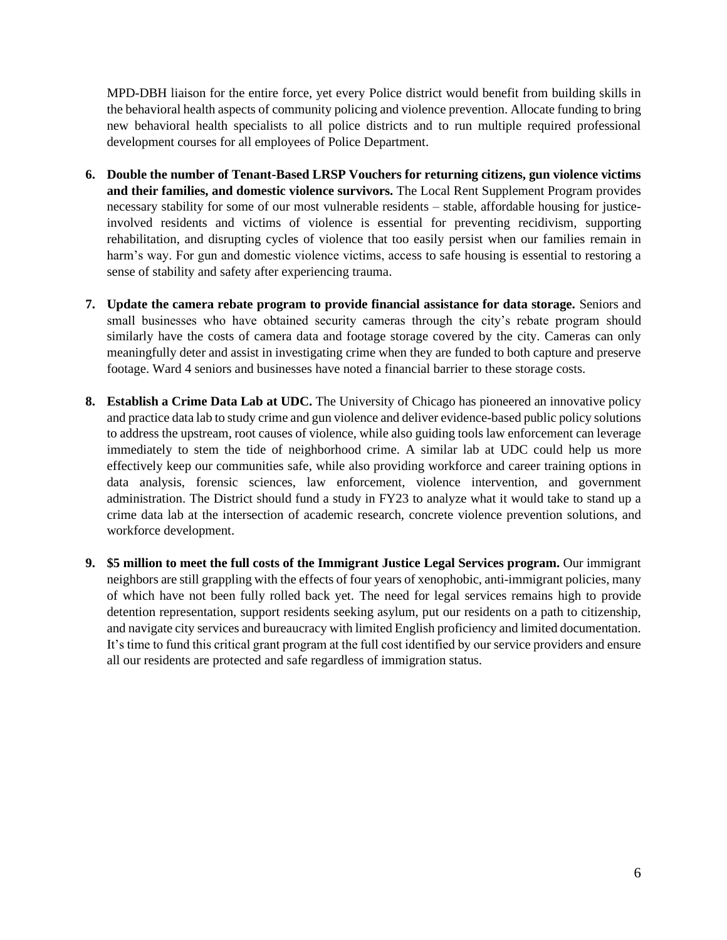MPD-DBH liaison for the entire force, yet every Police district would benefit from building skills in the behavioral health aspects of community policing and violence prevention. Allocate funding to bring new behavioral health specialists to all police districts and to run multiple required professional development courses for all employees of Police Department.

- **6. Double the number of Tenant-Based LRSP Vouchers for returning citizens, gun violence victims and their families, and domestic violence survivors.** The Local Rent Supplement Program provides necessary stability for some of our most vulnerable residents – stable, affordable housing for justiceinvolved residents and victims of violence is essential for preventing recidivism, supporting rehabilitation, and disrupting cycles of violence that too easily persist when our families remain in harm's way. For gun and domestic violence victims, access to safe housing is essential to restoring a sense of stability and safety after experiencing trauma.
- **7. Update the camera rebate program to provide financial assistance for data storage.** Seniors and small businesses who have obtained security cameras through the city's rebate program should similarly have the costs of camera data and footage storage covered by the city. Cameras can only meaningfully deter and assist in investigating crime when they are funded to both capture and preserve footage. Ward 4 seniors and businesses have noted a financial barrier to these storage costs.
- **8. Establish a Crime Data Lab at UDC.** The University of Chicago has pioneered an innovative policy and practice data lab to study crime and gun violence and deliver evidence-based public policy solutions to address the upstream, root causes of violence, while also guiding tools law enforcement can leverage immediately to stem the tide of neighborhood crime. A similar lab at UDC could help us more effectively keep our communities safe, while also providing workforce and career training options in data analysis, forensic sciences, law enforcement, violence intervention, and government administration. The District should fund a study in FY23 to analyze what it would take to stand up a crime data lab at the intersection of academic research, concrete violence prevention solutions, and workforce development.
- **9. \$5 million to meet the full costs of the Immigrant Justice Legal Services program.** Our immigrant neighbors are still grappling with the effects of four years of xenophobic, anti-immigrant policies, many of which have not been fully rolled back yet. The need for legal services remains high to provide detention representation, support residents seeking asylum, put our residents on a path to citizenship, and navigate city services and bureaucracy with limited English proficiency and limited documentation. It's time to fund this critical grant program at the full cost identified by our service providers and ensure all our residents are protected and safe regardless of immigration status.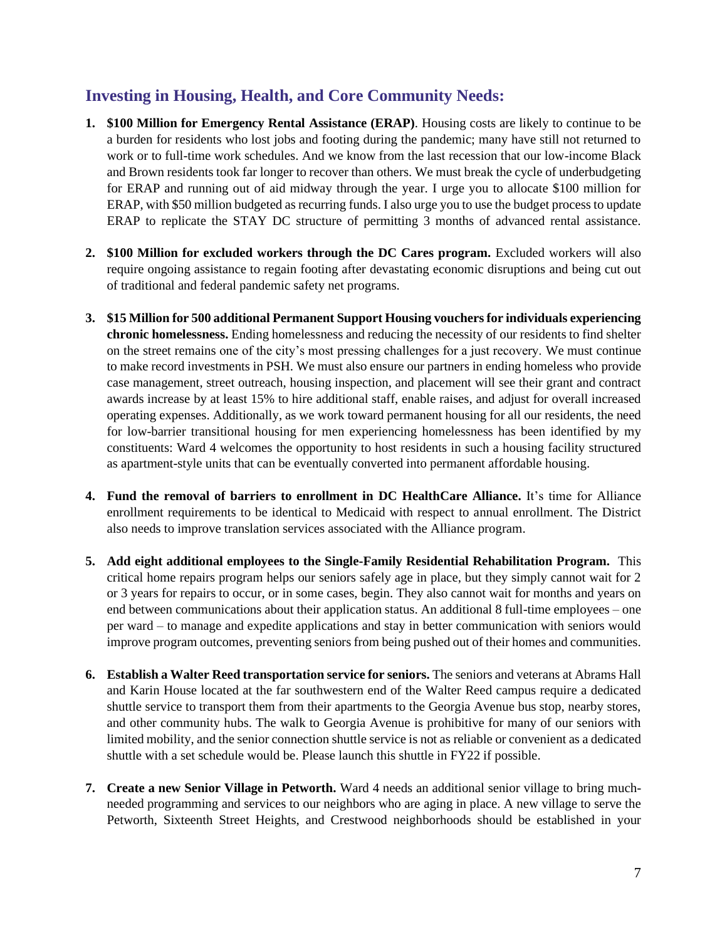### **Investing in Housing, Health, and Core Community Needs:**

- **1. \$100 Million for Emergency Rental Assistance (ERAP)**. Housing costs are likely to continue to be a burden for residents who lost jobs and footing during the pandemic; many have still not returned to work or to full-time work schedules. And we know from the last recession that our low-income Black and Brown residents took far longer to recover than others. We must break the cycle of underbudgeting for ERAP and running out of aid midway through the year. I urge you to allocate \$100 million for ERAP, with \$50 million budgeted as recurring funds. I also urge you to use the budget process to update ERAP to replicate the STAY DC structure of permitting 3 months of advanced rental assistance.
- **2. \$100 Million for excluded workers through the DC Cares program.** Excluded workers will also require ongoing assistance to regain footing after devastating economic disruptions and being cut out of traditional and federal pandemic safety net programs.
- **3. \$15 Million for 500 additional Permanent Support Housing vouchers for individuals experiencing chronic homelessness.** Ending homelessness and reducing the necessity of our residents to find shelter on the street remains one of the city's most pressing challenges for a just recovery. We must continue to make record investments in PSH. We must also ensure our partners in ending homeless who provide case management, street outreach, housing inspection, and placement will see their grant and contract awards increase by at least 15% to hire additional staff, enable raises, and adjust for overall increased operating expenses. Additionally, as we work toward permanent housing for all our residents, the need for low-barrier transitional housing for men experiencing homelessness has been identified by my constituents: Ward 4 welcomes the opportunity to host residents in such a housing facility structured as apartment-style units that can be eventually converted into permanent affordable housing.
- **4. Fund the removal of barriers to enrollment in DC HealthCare Alliance.** It's time for Alliance enrollment requirements to be identical to Medicaid with respect to annual enrollment. The District also needs to improve translation services associated with the Alliance program.
- **5. Add eight additional employees to the Single-Family Residential Rehabilitation Program.** This critical home repairs program helps our seniors safely age in place, but they simply cannot wait for 2 or 3 years for repairs to occur, or in some cases, begin. They also cannot wait for months and years on end between communications about their application status. An additional 8 full-time employees – one per ward – to manage and expedite applications and stay in better communication with seniors would improve program outcomes, preventing seniors from being pushed out of their homes and communities.
- **6. Establish a Walter Reed transportation service for seniors.** The seniors and veterans at Abrams Hall and Karin House located at the far southwestern end of the Walter Reed campus require a dedicated shuttle service to transport them from their apartments to the Georgia Avenue bus stop, nearby stores, and other community hubs. The walk to Georgia Avenue is prohibitive for many of our seniors with limited mobility, and the senior connection shuttle service is not as reliable or convenient as a dedicated shuttle with a set schedule would be. Please launch this shuttle in FY22 if possible.
- **7. Create a new Senior Village in Petworth.** Ward 4 needs an additional senior village to bring muchneeded programming and services to our neighbors who are aging in place. A new village to serve the Petworth, Sixteenth Street Heights, and Crestwood neighborhoods should be established in your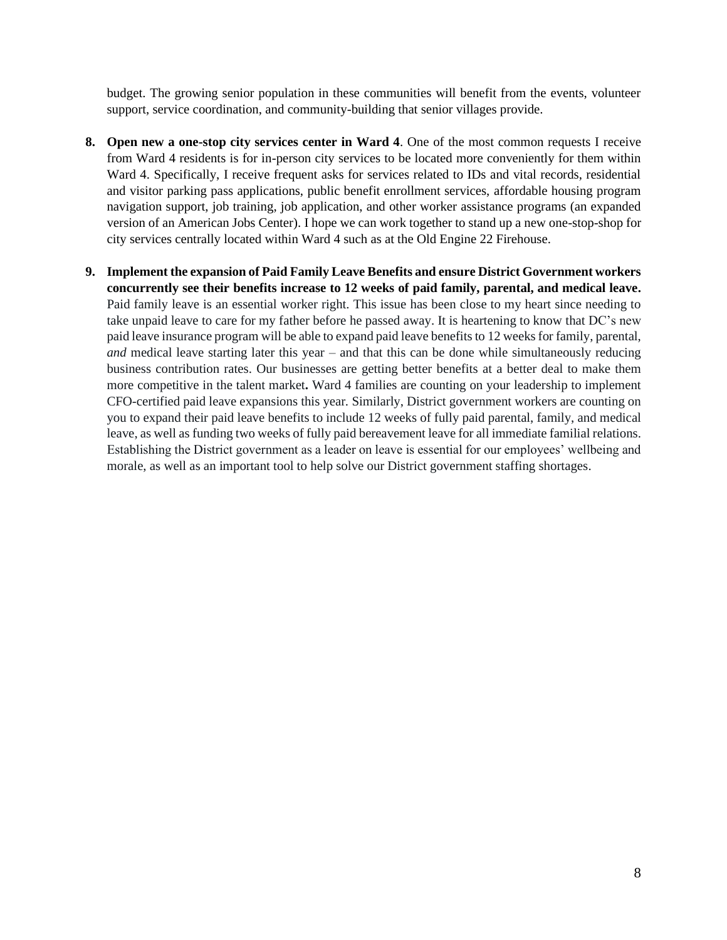budget. The growing senior population in these communities will benefit from the events, volunteer support, service coordination, and community-building that senior villages provide.

- **8. Open new a one-stop city services center in Ward 4**. One of the most common requests I receive from Ward 4 residents is for in-person city services to be located more conveniently for them within Ward 4. Specifically, I receive frequent asks for services related to IDs and vital records, residential and visitor parking pass applications, public benefit enrollment services, affordable housing program navigation support, job training, job application, and other worker assistance programs (an expanded version of an American Jobs Center). I hope we can work together to stand up a new one-stop-shop for city services centrally located within Ward 4 such as at the Old Engine 22 Firehouse.
- **9. Implement the expansion of Paid Family Leave Benefits and ensure District Government workers concurrently see their benefits increase to 12 weeks of paid family, parental, and medical leave.**  Paid family leave is an essential worker right. This issue has been close to my heart since needing to take unpaid leave to care for my father before he passed away. It is heartening to know that DC's new paid leave insurance program will be able to expand paid leave benefits to 12 weeks for family, parental, *and* medical leave starting later this year – and that this can be done while simultaneously reducing business contribution rates. Our businesses are getting better benefits at a better deal to make them more competitive in the talent market**.** Ward 4 families are counting on your leadership to implement CFO-certified paid leave expansions this year*.* Similarly, District government workers are counting on you to expand their paid leave benefits to include 12 weeks of fully paid parental, family, and medical leave, as well as funding two weeks of fully paid bereavement leave for all immediate familial relations. Establishing the District government as a leader on leave is essential for our employees' wellbeing and morale, as well as an important tool to help solve our District government staffing shortages.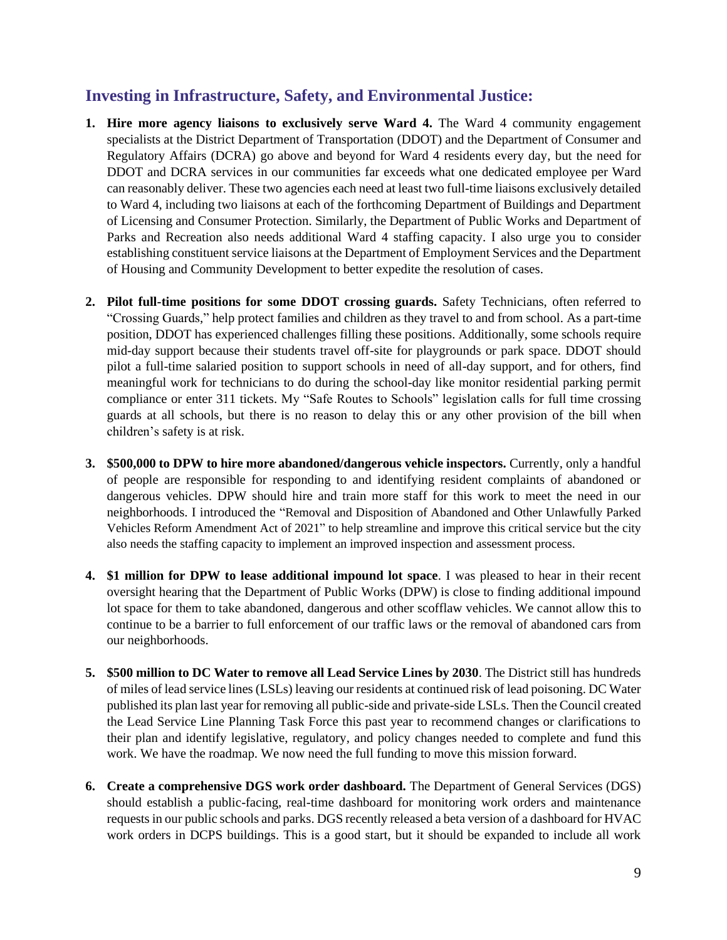#### **Investing in Infrastructure, Safety, and Environmental Justice:**

- **1. Hire more agency liaisons to exclusively serve Ward 4.** The Ward 4 community engagement specialists at the District Department of Transportation (DDOT) and the Department of Consumer and Regulatory Affairs (DCRA) go above and beyond for Ward 4 residents every day, but the need for DDOT and DCRA services in our communities far exceeds what one dedicated employee per Ward can reasonably deliver. These two agencies each need at least two full-time liaisons exclusively detailed to Ward 4, including two liaisons at each of the forthcoming Department of Buildings and Department of Licensing and Consumer Protection. Similarly, the Department of Public Works and Department of Parks and Recreation also needs additional Ward 4 staffing capacity. I also urge you to consider establishing constituent service liaisons at the Department of Employment Services and the Department of Housing and Community Development to better expedite the resolution of cases.
- **2. Pilot full-time positions for some DDOT crossing guards.** Safety Technicians, often referred to "Crossing Guards," help protect families and children as they travel to and from school. As a part-time position, DDOT has experienced challenges filling these positions. Additionally, some schools require mid-day support because their students travel off-site for playgrounds or park space. DDOT should pilot a full-time salaried position to support schools in need of all-day support, and for others, find meaningful work for technicians to do during the school-day like monitor residential parking permit compliance or enter 311 tickets. My "Safe Routes to Schools" legislation calls for full time crossing guards at all schools, but there is no reason to delay this or any other provision of the bill when children's safety is at risk.
- **3. \$500,000 to DPW to hire more abandoned/dangerous vehicle inspectors.** Currently, only a handful of people are responsible for responding to and identifying resident complaints of abandoned or dangerous vehicles. DPW should hire and train more staff for this work to meet the need in our neighborhoods. I introduced the "Removal and Disposition of Abandoned and Other Unlawfully Parked Vehicles Reform Amendment Act of 2021" to help streamline and improve this critical service but the city also needs the staffing capacity to implement an improved inspection and assessment process.
- **4. \$1 million for DPW to lease additional impound lot space**. I was pleased to hear in their recent oversight hearing that the Department of Public Works (DPW) is close to finding additional impound lot space for them to take abandoned, dangerous and other scofflaw vehicles. We cannot allow this to continue to be a barrier to full enforcement of our traffic laws or the removal of abandoned cars from our neighborhoods.
- **5. \$500 million to DC Water to remove all Lead Service Lines by 2030**. The District still has hundreds of miles of lead service lines (LSLs) leaving our residents at continued risk of lead poisoning. DC Water published its plan last year for removing all public-side and private-side LSLs. Then the Council created the Lead Service Line Planning Task Force this past year to recommend changes or clarifications to their plan and identify legislative, regulatory, and policy changes needed to complete and fund this work. We have the roadmap. We now need the full funding to move this mission forward.
- **6. Create a comprehensive DGS work order dashboard.** The Department of General Services (DGS) should establish a public-facing, real-time dashboard for monitoring work orders and maintenance requests in our public schools and parks. DGS recently released a beta version of a dashboard for HVAC work orders in DCPS buildings. This is a good start, but it should be expanded to include all work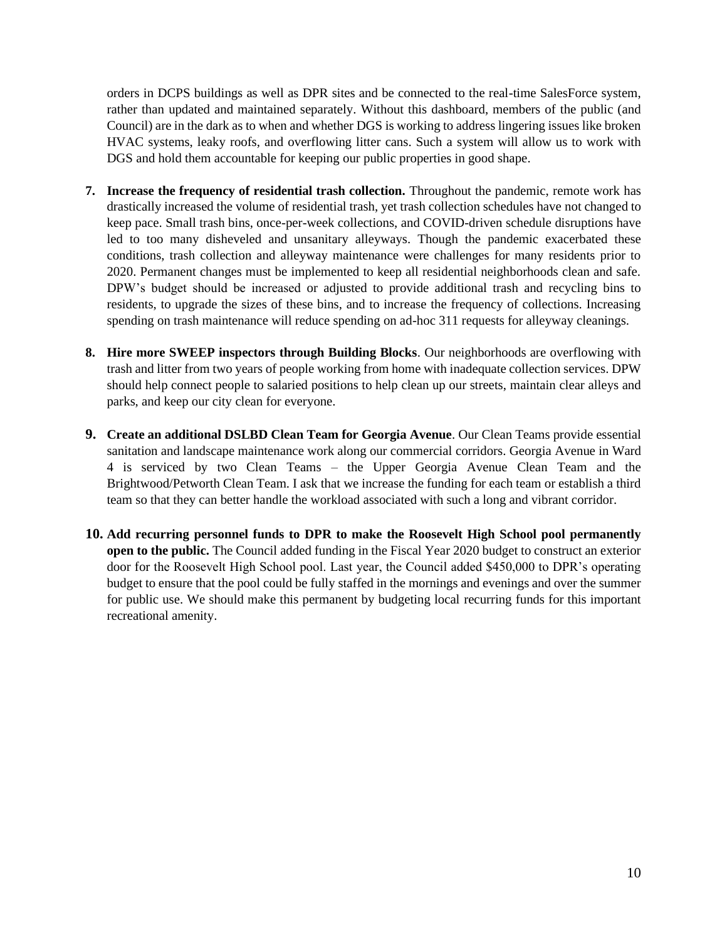orders in DCPS buildings as well as DPR sites and be connected to the real-time SalesForce system, rather than updated and maintained separately. Without this dashboard, members of the public (and Council) are in the dark as to when and whether DGS is working to address lingering issues like broken HVAC systems, leaky roofs, and overflowing litter cans. Such a system will allow us to work with DGS and hold them accountable for keeping our public properties in good shape.

- **7. Increase the frequency of residential trash collection.** Throughout the pandemic, remote work has drastically increased the volume of residential trash, yet trash collection schedules have not changed to keep pace. Small trash bins, once-per-week collections, and COVID-driven schedule disruptions have led to too many disheveled and unsanitary alleyways. Though the pandemic exacerbated these conditions, trash collection and alleyway maintenance were challenges for many residents prior to 2020. Permanent changes must be implemented to keep all residential neighborhoods clean and safe. DPW's budget should be increased or adjusted to provide additional trash and recycling bins to residents, to upgrade the sizes of these bins, and to increase the frequency of collections. Increasing spending on trash maintenance will reduce spending on ad-hoc 311 requests for alleyway cleanings.
- **8. Hire more SWEEP inspectors through Building Blocks**. Our neighborhoods are overflowing with trash and litter from two years of people working from home with inadequate collection services. DPW should help connect people to salaried positions to help clean up our streets, maintain clear alleys and parks, and keep our city clean for everyone.
- **9. Create an additional DSLBD Clean Team for Georgia Avenue**. Our Clean Teams provide essential sanitation and landscape maintenance work along our commercial corridors. Georgia Avenue in Ward 4 is serviced by two Clean Teams – the Upper Georgia Avenue Clean Team and the Brightwood/Petworth Clean Team. I ask that we increase the funding for each team or establish a third team so that they can better handle the workload associated with such a long and vibrant corridor.
- **10. Add recurring personnel funds to DPR to make the Roosevelt High School pool permanently open to the public.** The Council added funding in the Fiscal Year 2020 budget to construct an exterior door for the Roosevelt High School pool. Last year, the Council added \$450,000 to DPR's operating budget to ensure that the pool could be fully staffed in the mornings and evenings and over the summer for public use. We should make this permanent by budgeting local recurring funds for this important recreational amenity.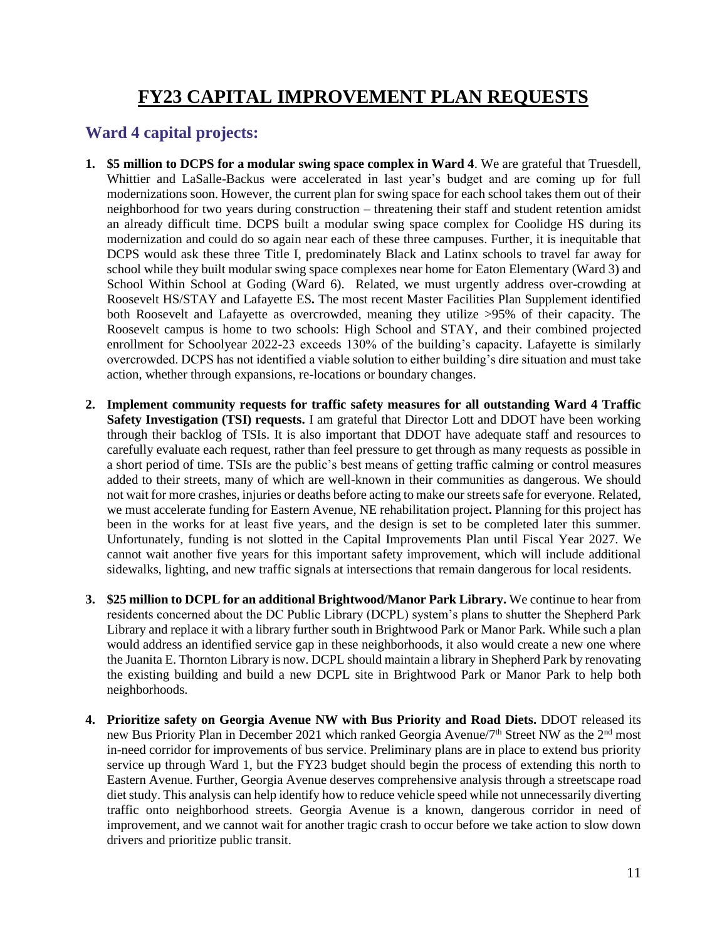# **FY23 CAPITAL IMPROVEMENT PLAN REQUESTS**

### **Ward 4 capital projects:**

- **1. \$5 million to DCPS for a modular swing space complex in Ward 4**. We are grateful that Truesdell, Whittier and LaSalle-Backus were accelerated in last year's budget and are coming up for full modernizations soon. However, the current plan for swing space for each school takes them out of their neighborhood for two years during construction – threatening their staff and student retention amidst an already difficult time. DCPS built a modular swing space complex for Coolidge HS during its modernization and could do so again near each of these three campuses. Further, it is inequitable that DCPS would ask these three Title I, predominately Black and Latinx schools to travel far away for school while they built modular swing space complexes near home for Eaton Elementary (Ward 3) and School Within School at Goding (Ward 6). Related, we must urgently address over-crowding at Roosevelt HS/STAY and Lafayette ES**.** The most recent Master Facilities Plan Supplement identified both Roosevelt and Lafayette as overcrowded, meaning they utilize >95% of their capacity. The Roosevelt campus is home to two schools: High School and STAY, and their combined projected enrollment for Schoolyear 2022-23 exceeds 130% of the building's capacity. Lafayette is similarly overcrowded. DCPS has not identified a viable solution to either building's dire situation and must take action, whether through expansions, re-locations or boundary changes.
- **2. Implement community requests for traffic safety measures for all outstanding Ward 4 Traffic Safety Investigation (TSI) requests.** I am grateful that Director Lott and DDOT have been working through their backlog of TSIs. It is also important that DDOT have adequate staff and resources to carefully evaluate each request, rather than feel pressure to get through as many requests as possible in a short period of time. TSIs are the public's best means of getting traffic calming or control measures added to their streets, many of which are well-known in their communities as dangerous. We should not wait for more crashes, injuries or deaths before acting to make our streets safe for everyone. Related, we must accelerate funding for Eastern Avenue, NE rehabilitation project**.** Planning for this project has been in the works for at least five years, and the design is set to be completed later this summer. Unfortunately, funding is not slotted in the Capital Improvements Plan until Fiscal Year 2027. We cannot wait another five years for this important safety improvement, which will include additional sidewalks, lighting, and new traffic signals at intersections that remain dangerous for local residents.
- **3. \$25 million to DCPL for an additional Brightwood/Manor Park Library.** We continue to hear from residents concerned about the DC Public Library (DCPL) system's plans to shutter the Shepherd Park Library and replace it with a library further south in Brightwood Park or Manor Park. While such a plan would address an identified service gap in these neighborhoods, it also would create a new one where the Juanita E. Thornton Library is now. DCPL should maintain a library in Shepherd Park by renovating the existing building and build a new DCPL site in Brightwood Park or Manor Park to help both neighborhoods.
- **4. Prioritize safety on Georgia Avenue NW with Bus Priority and Road Diets.** DDOT released its new Bus Priority Plan in December 2021 which ranked Georgia Avenue/7<sup>th</sup> Street NW as the 2<sup>nd</sup> most in-need corridor for improvements of bus service. Preliminary plans are in place to extend bus priority service up through Ward 1, but the FY23 budget should begin the process of extending this north to Eastern Avenue. Further, Georgia Avenue deserves comprehensive analysis through a streetscape road diet study. This analysis can help identify how to reduce vehicle speed while not unnecessarily diverting traffic onto neighborhood streets. Georgia Avenue is a known, dangerous corridor in need of improvement, and we cannot wait for another tragic crash to occur before we take action to slow down drivers and prioritize public transit.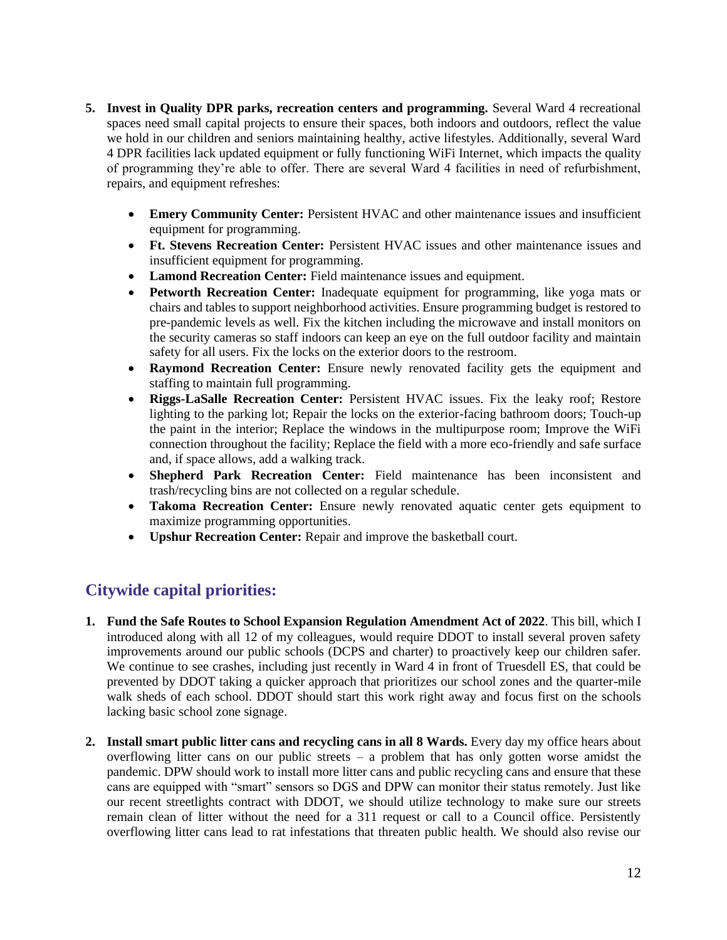- **5. Invest in Quality DPR parks, recreation centers and programming.** Several Ward 4 recreational spaces need small capital projects to ensure their spaces, both indoors and outdoors, reflect the value we hold in our children and seniors maintaining healthy, active lifestyles. Additionally, several Ward 4 DPR facilities lack updated equipment or fully functioning WiFi Internet, which impacts the quality of programming they're able to offer. There are several Ward 4 facilities in need of refurbishment, repairs, and equipment refreshes:
	- **Emery Community Center:** Persistent HVAC and other maintenance issues and insufficient equipment for programming.
	- **Ft. Stevens Recreation Center:** Persistent HVAC issues and other maintenance issues and insufficient equipment for programming.
	- **Lamond Recreation Center:** Field maintenance issues and equipment.
	- **Petworth Recreation Center:** Inadequate equipment for programming, like yoga mats or chairs and tables to support neighborhood activities. Ensure programming budget is restored to pre-pandemic levels as well. Fix the kitchen including the microwave and install monitors on the security cameras so staff indoors can keep an eye on the full outdoor facility and maintain safety for all users. Fix the locks on the exterior doors to the restroom.
	- **Raymond Recreation Center:** Ensure newly renovated facility gets the equipment and staffing to maintain full programming.
	- **Riggs-LaSalle Recreation Center:** Persistent HVAC issues. Fix the leaky roof; Restore lighting to the parking lot; Repair the locks on the exterior-facing bathroom doors; Touch-up the paint in the interior; Replace the windows in the multipurpose room; Improve the WiFi connection throughout the facility; Replace the field with a more eco-friendly and safe surface and, if space allows, add a walking track.
	- **Shepherd Park Recreation Center:** Field maintenance has been inconsistent and trash/recycling bins are not collected on a regular schedule.
	- **Takoma Recreation Center:** Ensure newly renovated aquatic center gets equipment to maximize programming opportunities.
	- **Upshur Recreation Center:** Repair and improve the basketball court.

## **Citywide capital priorities:**

- **1. Fund the Safe Routes to School Expansion Regulation Amendment Act of 2022**. This bill, which I introduced along with all 12 of my colleagues, would require DDOT to install several proven safety improvements around our public schools (DCPS and charter) to proactively keep our children safer. We continue to see crashes, including just recently in Ward 4 in front of Truesdell ES, that could be prevented by DDOT taking a quicker approach that prioritizes our school zones and the quarter-mile walk sheds of each school. DDOT should start this work right away and focus first on the schools lacking basic school zone signage.
- **2. Install smart public litter cans and recycling cans in all 8 Wards.** Every day my office hears about overflowing litter cans on our public streets – a problem that has only gotten worse amidst the pandemic. DPW should work to install more litter cans and public recycling cans and ensure that these cans are equipped with "smart" sensors so DGS and DPW can monitor their status remotely. Just like our recent streetlights contract with DDOT, we should utilize technology to make sure our streets remain clean of litter without the need for a 311 request or call to a Council office. Persistently overflowing litter cans lead to rat infestations that threaten public health. We should also revise our